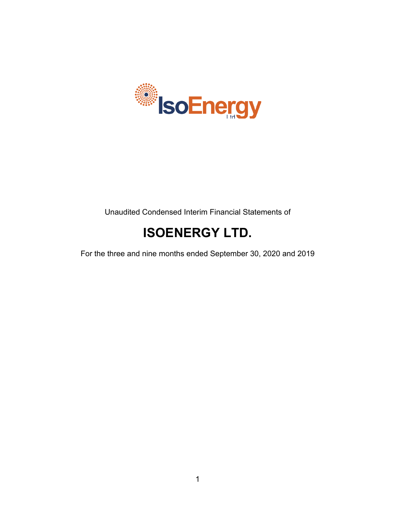

# Unaudited Condensed Interim Financial Statements of

# **ISOENERGY LTD.**

For the three and nine months ended September 30, 2020 and 2019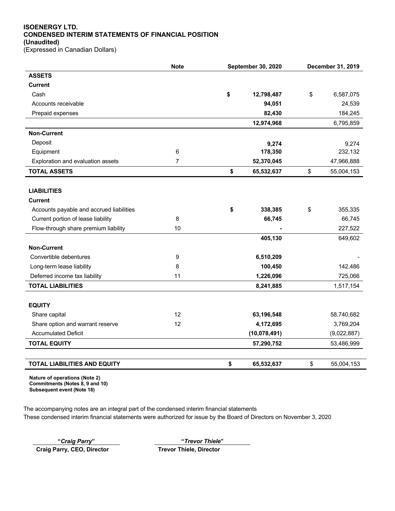# **ISOENERGY LTD. CONDENSED INTERIM STATEMENTS OF FINANCIAL POSITION (Unaudited)**

(Expressed in Canadian Dollars)

|                                          | <b>Note</b>    | September 30, 2020 |              | December 31, 2019 |
|------------------------------------------|----------------|--------------------|--------------|-------------------|
| <b>ASSETS</b>                            |                |                    |              |                   |
| <b>Current</b>                           |                |                    |              |                   |
| Cash                                     |                | \$                 | 12,798,487   | \$<br>6,587,075   |
| Accounts receivable                      |                |                    | 94,051       | 24,539            |
| Prepaid expenses                         |                |                    | 82,430       | 184,245           |
|                                          |                |                    | 12,974,968   | 6,795,859         |
| <b>Non-Current</b>                       |                |                    |              |                   |
| Deposit                                  |                |                    | 9,274        | 9,274             |
| Equipment                                | 6              |                    | 178,350      | 232,132           |
| Exploration and evaluation assets        | $\overline{7}$ |                    | 52,370,045   | 47,966,888        |
| <b>TOTAL ASSETS</b>                      |                | \$                 | 65,532,637   | \$<br>55,004,153  |
|                                          |                |                    |              |                   |
| <b>LIABILITIES</b>                       |                |                    |              |                   |
| <b>Current</b>                           |                |                    |              |                   |
| Accounts payable and accrued liabilities |                | \$                 | 338,385      | \$<br>355,335     |
| Current portion of lease liability       | 8              |                    | 66,745       | 66,745            |
| Flow-through share premium liability     | 10             |                    |              | 227,522           |
|                                          |                |                    | 405,130      | 649,602           |
| <b>Non-Current</b>                       |                |                    |              |                   |
| Convertible debentures                   | 9              |                    | 6,510,209    |                   |
| Long-term lease liability                | 8              |                    | 100,450      | 142,486           |
| Deferred income tax liability            | 11             |                    | 1,226,096    | 725,066           |
| <b>TOTAL LIABILITIES</b>                 |                |                    | 8,241,885    | 1,517,154         |
|                                          |                |                    |              |                   |
| <b>EQUITY</b>                            |                |                    |              |                   |
| Share capital                            | 12             |                    | 63,196,548   | 58,740,682        |
| Share option and warrant reserve         | 12             |                    | 4,172,695    | 3,769,204         |
| <b>Accumulated Deficit</b>               |                |                    | (10,078,491) | (9,022,887)       |
| <b>TOTAL EQUITY</b>                      |                |                    | 57,290,752   | 53,486,999        |
|                                          |                |                    |              |                   |
| <b>TOTAL LIABILITIES AND EQUITY</b>      |                | \$                 | 65,532,637   | \$<br>55,004,153  |

**Nature of operations (Note 2) Commitments (Notes 8, 9 and 10) Subsequent event (Note 18)**

The accompanying notes are an integral part of the condensed interim financial statements These condensed interim financial statements were authorized for issue by the Board of Directors on November 3, 2020

**"***Craig Parry***" "***Trevor Thiele***"**

**Craig Parry, CEO, Director Trevor Thiele, Director**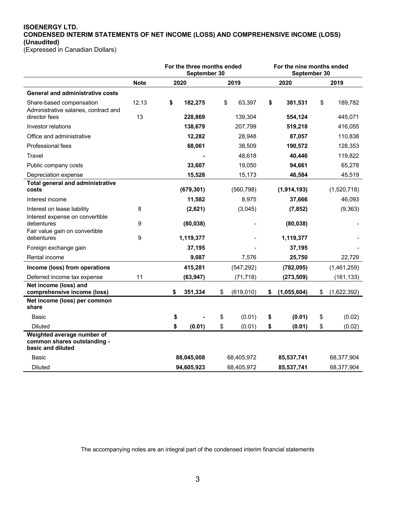# **ISOENERGY LTD. CONDENSED INTERIM STATEMENTS OF NET INCOME (LOSS) AND COMPREHENSIVE INCOME (LOSS) (Unaudited)**

(Expressed in Canadian Dollars)

|                                                                                |             | For the three months ended<br>September 30 |            |                  | For the nine months ended<br>September 30 |             |      |             |
|--------------------------------------------------------------------------------|-------------|--------------------------------------------|------------|------------------|-------------------------------------------|-------------|------|-------------|
|                                                                                | <b>Note</b> |                                            | 2020       | 2019             | 2020                                      |             | 2019 |             |
| <b>General and administrative costs</b>                                        |             |                                            |            |                  |                                           |             |      |             |
| Share-based compensation<br>Administrative salaries, contract and              | 12,13       | \$                                         | 182,275    | \$<br>63,397     | \$                                        | 381,531     | \$   | 189,782     |
| director fees                                                                  | 13          |                                            | 228,869    | 139,304          |                                           | 554,124     |      | 445,071     |
| Investor relations                                                             |             |                                            | 138,679    | 207,799          |                                           | 519,218     |      | 416,055     |
| Office and administrative                                                      |             |                                            | 12,282     | 28,948           |                                           | 87,057      |      | 110,838     |
| Professional fees                                                              |             |                                            | 68,061     | 38,509           |                                           | 190,572     |      | 128,353     |
| Travel                                                                         |             |                                            |            | 48,618           |                                           | 40,446      |      | 119,822     |
| Public company costs                                                           |             |                                            | 33,607     | 19,050           |                                           | 94,661      |      | 65,278      |
| Depreciation expense                                                           |             |                                            | 15,528     | 15,173           |                                           | 46,584      |      | 45,519      |
| <b>Total general and administrative</b><br>costs                               |             |                                            | (679, 301) | (560, 798)       |                                           | (1,914,193) |      | (1,520,718) |
| Interest income                                                                |             |                                            | 11,582     | 8,975            |                                           | 37,666      |      | 46,093      |
| Interest on lease liability                                                    | 8           |                                            | (2,621)    | (3,045)          |                                           | (7, 852)    |      | (9, 363)    |
| Interest expense on convertible<br>debentures                                  | 9           |                                            | (80, 038)  |                  |                                           | (80, 038)   |      |             |
| Fair value gain on convertible<br>debentures                                   | 9           |                                            | 1,119,377  |                  |                                           | 1,119,377   |      |             |
| Foreign exchange gain                                                          |             |                                            | 37,195     |                  |                                           | 37,195      |      |             |
| Rental income                                                                  |             |                                            | 9,087      | 7,576            |                                           | 25,750      |      | 22,729      |
| Income (loss) from operations                                                  |             |                                            | 415,281    | (547, 292)       |                                           | (782, 095)  |      | (1,461,259) |
| Deferred income tax expense                                                    | 11          |                                            | (63, 947)  | (71, 718)        |                                           | (273, 509)  |      | (161, 133)  |
| Net income (loss) and<br>comprehensive income (loss)                           |             | \$                                         | 351,334    | \$<br>(619, 010) | \$                                        | (1,055,604) | \$   | (1,622,392) |
| Net income (loss) per common<br>share                                          |             |                                            |            |                  |                                           |             |      |             |
| Basic                                                                          |             | \$                                         |            | \$<br>(0.01)     | \$                                        | (0.01)      | \$   | (0.02)      |
| <b>Diluted</b>                                                                 |             | \$                                         | (0.01)     | \$<br>(0.01)     | \$                                        | (0.01)      | \$   | (0.02)      |
| Weighted average number of<br>common shares outstanding -<br>basic and diluted |             |                                            |            |                  |                                           |             |      |             |
| Basic                                                                          |             |                                            | 88,045,008 | 68,405,972       |                                           | 85,537,741  |      | 68,377,904  |
| <b>Diluted</b>                                                                 |             |                                            | 94,605,923 | 68,405,972       |                                           | 85,537,741  |      | 68,377,904  |

The accompanying notes are an integral part of the condensed interim financial statements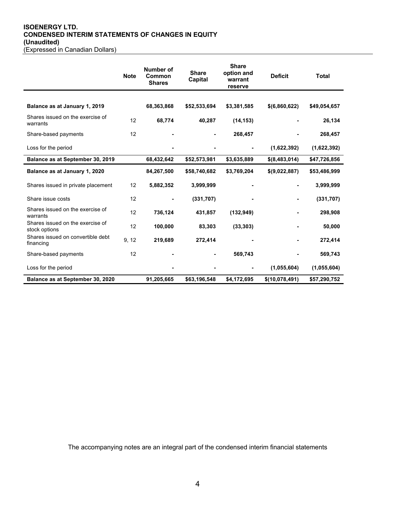#### **ISOENERGY LTD. CONDENSED INTERIM STATEMENTS OF CHANGES IN EQUITY (Unaudited)** (Expressed in Canadian Dollars)

|                                                   | <b>Note</b> | Number of<br>Common<br><b>Shares</b> | <b>Share</b><br>Capital | <b>Share</b><br>option and<br>warrant<br>reserve |                 | <b>Total</b> |
|---------------------------------------------------|-------------|--------------------------------------|-------------------------|--------------------------------------------------|-----------------|--------------|
|                                                   |             |                                      |                         |                                                  |                 |              |
| Balance as at January 1, 2019                     |             | 68,363,868                           | \$52,533,694            | \$3,381,585                                      | \$(6,860,622)   | \$49,054,657 |
| Shares issued on the exercise of<br>warrants      | 12          | 68,774                               | 40,287                  | (14, 153)                                        |                 | 26,134       |
| Share-based payments                              | 12          |                                      |                         | 268,457                                          |                 | 268,457      |
| Loss for the period                               |             |                                      |                         |                                                  | (1,622,392)     | (1,622,392)  |
| Balance as at September 30, 2019                  |             | 68,432,642                           | \$52,573,981            | \$3,635,889                                      | $$$ (8,483,014) | \$47,726,856 |
| Balance as at January 1, 2020                     |             | 84,267,500                           | \$58,740,682            | \$3,769,204                                      | \$(9,022,887)   | \$53,486,999 |
| Shares issued in private placement                | 12          | 5,882,352                            | 3,999,999               |                                                  |                 | 3,999,999    |
| Share issue costs                                 | 12          |                                      | (331, 707)              |                                                  |                 | (331, 707)   |
| Shares issued on the exercise of<br>warrants      | 12          | 736,124                              | 431,857                 | (132, 949)                                       |                 | 298,908      |
| Shares issued on the exercise of<br>stock options | 12          | 100,000                              | 83,303                  | (33, 303)                                        |                 | 50,000       |
| Shares issued on convertible debt<br>financing    | 9, 12       | 219,689                              | 272,414                 |                                                  |                 | 272,414      |
| Share-based payments                              | 12          |                                      |                         | 569,743                                          |                 | 569,743      |
| Loss for the period                               |             |                                      |                         |                                                  | (1,055,604)     | (1,055,604)  |
| Balance as at September 30, 2020                  |             | 91,205,665                           | \$63,196,548            | \$4,172,695                                      | \$(10,078,491)  | \$57,290,752 |

The accompanying notes are an integral part of the condensed interim financial statements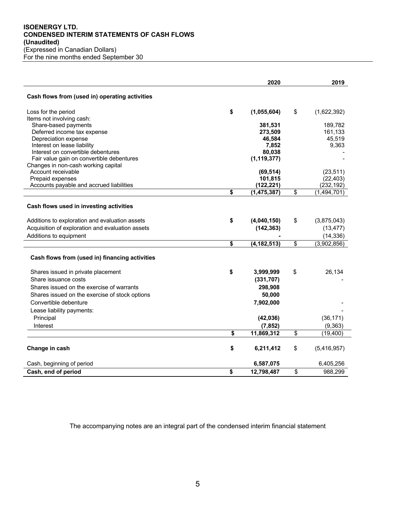### **ISOENERGY LTD. CONDENSED INTERIM STATEMENTS OF CASH FLOWS (Unaudited)** (Expressed in Canadian Dollars) For the nine months ended September 30

|                                                                   | 2020                | 2019              |
|-------------------------------------------------------------------|---------------------|-------------------|
| Cash flows from (used in) operating activities                    |                     |                   |
| Loss for the period                                               | \$<br>(1,055,604)   | \$<br>(1,622,392) |
| Items not involving cash:                                         |                     |                   |
| Share-based payments                                              | 381,531             | 189,782           |
| Deferred income tax expense                                       | 273,509             | 161,133           |
| Depreciation expense                                              | 46,584              | 45,519            |
| Interest on lease liability<br>Interest on convertible debentures | 7,852<br>80,038     | 9,363             |
| Fair value gain on convertible debentures                         | (1, 119, 377)       |                   |
| Changes in non-cash working capital                               |                     |                   |
| Account receivable                                                | (69, 514)           | (23, 511)         |
| Prepaid expenses                                                  | 101,815             | (22, 403)         |
| Accounts payable and accrued liabilities                          | (122,221)           | (232, 192)        |
|                                                                   | \$<br>(1, 475, 387) | \$<br>(1,494,701) |
| Cash flows used in investing activities                           |                     |                   |
| Additions to exploration and evaluation assets                    | \$<br>(4,040,150)   | \$<br>(3,875,043) |
| Acquisition of exploration and evaluation assets                  | (142, 363)          | (13, 477)         |
| Additions to equipment                                            |                     | (14, 336)         |
|                                                                   | \$<br>(4, 182, 513) | \$<br>(3,902,856) |
| Cash flows from (used in) financing activities                    |                     |                   |
| Shares issued in private placement                                | \$<br>3,999,999     | \$<br>26,134      |
| Share issuance costs                                              | (331, 707)          |                   |
| Shares issued on the exercise of warrants                         | 298,908             |                   |
| Shares issued on the exercise of stock options                    | 50,000              |                   |
| Convertible debenture                                             | 7,902,000           |                   |
| Lease liability payments:                                         |                     |                   |
| Principal                                                         | (42, 036)           | (36, 171)         |
| Interest                                                          | (7, 852)            | (9, 363)          |
|                                                                   | \$<br>11,869,312    | \$<br>(19, 400)   |
|                                                                   |                     |                   |
| Change in cash                                                    | \$<br>6,211,412     | \$<br>(5,416,957) |
| Cash, beginning of period                                         | 6,587,075           | 6,405,256         |
| Cash, end of period                                               | \$<br>12,798,487    | \$<br>988,299     |

The accompanying notes are an integral part of the condensed interim financial statement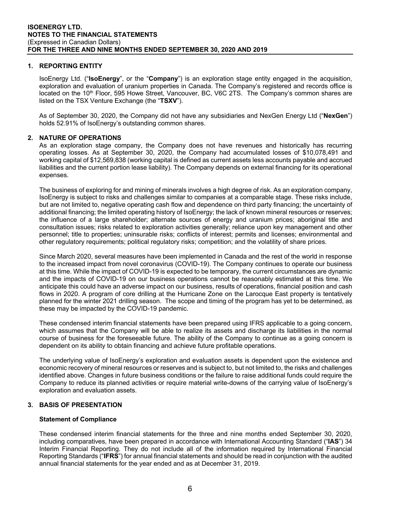# **1. REPORTING ENTITY**

IsoEnergy Ltd. ("**IsoEnergy**", or the "**Company**") is an exploration stage entity engaged in the acquisition, exploration and evaluation of uranium properties in Canada. The Company's registered and records office is located on the 10<sup>th</sup> Floor, 595 Howe Street, Vancouver, BC, V6C 2TS. The Company's common shares are listed on the TSX Venture Exchange (the "**TSXV**").

As of September 30, 2020, the Company did not have any subsidiaries and NexGen Energy Ltd ("**NexGen**") holds 52.91% of IsoEnergy's outstanding common shares.

# **2. NATURE OF OPERATIONS**

As an exploration stage company, the Company does not have revenues and historically has recurring operating losses. As at September 30, 2020, the Company had accumulated losses of \$10,078,491 and working capital of \$12,569,838 (working capital is defined as current assets less accounts payable and accrued liabilities and the current portion lease liability). The Company depends on external financing for its operational expenses.

The business of exploring for and mining of minerals involves a high degree of risk. As an exploration company, IsoEnergy is subject to risks and challenges similar to companies at a comparable stage. These risks include, but are not limited to, negative operating cash flow and dependence on third party financing; the uncertainty of additional financing; the limited operating history of IsoEnergy; the lack of known mineral resources or reserves; the influence of a large shareholder; alternate sources of energy and uranium prices; aboriginal title and consultation issues; risks related to exploration activities generally; reliance upon key management and other personnel; title to properties; uninsurable risks; conflicts of interest; permits and licenses; environmental and other regulatory requirements; political regulatory risks; competition; and the volatility of share prices.

Since March 2020, several measures have been implemented in Canada and the rest of the world in response to the increased impact from novel coronavirus (COVID-19). The Company continues to operate our business at this time. While the impact of COVID-19 is expected to be temporary, the current circumstances are dynamic and the impacts of COVID-19 on our business operations cannot be reasonably estimated at this time. We anticipate this could have an adverse impact on our business, results of operations, financial position and cash flows in 2020. A program of core drilling at the Hurricane Zone on the Larocque East property is tentatively planned for the winter 2021 drilling season. The scope and timing of the program has yet to be determined, as these may be impacted by the COVID-19 pandemic.

These condensed interim financial statements have been prepared using IFRS applicable to a going concern, which assumes that the Company will be able to realize its assets and discharge its liabilities in the normal course of business for the foreseeable future. The ability of the Company to continue as a going concern is dependent on its ability to obtain financing and achieve future profitable operations.

The underlying value of IsoEnergy's exploration and evaluation assets is dependent upon the existence and economic recovery of mineral resources or reserves and is subject to, but not limited to, the risks and challenges identified above. Changes in future business conditions or the failure to raise additional funds could require the Company to reduce its planned activities or require material write-downs of the carrying value of IsoEnergy's exploration and evaluation assets.

# **3. BASIS OF PRESENTATION**

#### **Statement of Compliance**

These condensed interim financial statements for the three and nine months ended September 30, 2020, including comparatives, have been prepared in accordance with International Accounting Standard ("**IAS**") 34 Interim Financial Reporting. They do not include all of the information required by International Financial Reporting Standards ("**IFRS**") for annual financial statements and should be read in conjunction with the audited annual financial statements for the year ended and as at December 31, 2019.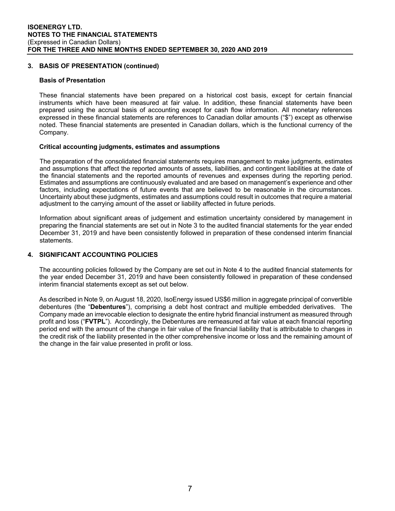# **3. BASIS OF PRESENTATION (continued)**

#### **Basis of Presentation**

These financial statements have been prepared on a historical cost basis, except for certain financial instruments which have been measured at fair value. In addition, these financial statements have been prepared using the accrual basis of accounting except for cash flow information. All monetary references expressed in these financial statements are references to Canadian dollar amounts ("\$") except as otherwise noted. These financial statements are presented in Canadian dollars, which is the functional currency of the Company.

#### **Critical accounting judgments, estimates and assumptions**

The preparation of the consolidated financial statements requires management to make judgments, estimates and assumptions that affect the reported amounts of assets, liabilities, and contingent liabilities at the date of the financial statements and the reported amounts of revenues and expenses during the reporting period. Estimates and assumptions are continuously evaluated and are based on management's experience and other factors, including expectations of future events that are believed to be reasonable in the circumstances. Uncertainty about these judgments, estimates and assumptions could result in outcomes that require a material adjustment to the carrying amount of the asset or liability affected in future periods.

Information about significant areas of judgement and estimation uncertainty considered by management in preparing the financial statements are set out in Note 3 to the audited financial statements for the year ended December 31, 2019 and have been consistently followed in preparation of these condensed interim financial statements.

# **4. SIGNIFICANT ACCOUNTING POLICIES**

The accounting policies followed by the Company are set out in Note 4 to the audited financial statements for the year ended December 31, 2019 and have been consistently followed in preparation of these condensed interim financial statements except as set out below.

As described in Note 9, on August 18, 2020, IsoEnergy issued US\$6 million in aggregate principal of convertible debentures (the "**Debentures**"), comprising a debt host contract and multiple embedded derivatives. The Company made an irrevocable election to designate the entire hybrid financial instrument as measured through profit and loss ("**FVTPL**"). Accordingly, the Debentures are remeasured at fair value at each financial reporting period end with the amount of the change in fair value of the financial liability that is attributable to changes in the credit risk of the liability presented in the other comprehensive income or loss and the remaining amount of the change in the fair value presented in profit or loss.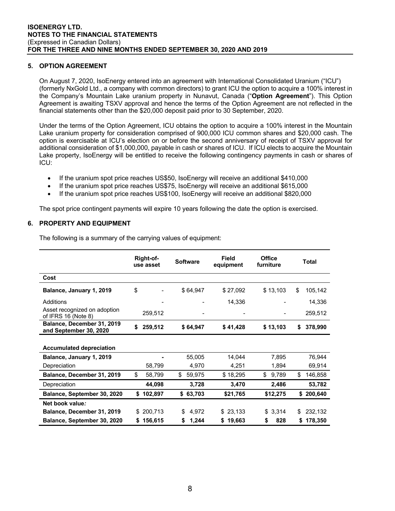# **5. OPTION AGREEMENT**

On August 7, 2020, IsoEnergy entered into an agreement with International Consolidated Uranium ("ICU") (formerly NxGold Ltd., a company with common directors) to grant ICU the option to acquire a 100% interest in the Company's Mountain Lake uranium property in Nunavut, Canada ("**Option Agreement**"). This Option Agreement is awaiting TSXV approval and hence the terms of the Option Agreement are not reflected in the financial statements other than the \$20,000 deposit paid prior to 30 September, 2020.

Under the terms of the Option Agreement, ICU obtains the option to acquire a 100% interest in the Mountain Lake uranium property for consideration comprised of 900,000 ICU common shares and \$20,000 cash. The option is exercisable at ICU's election on or before the second anniversary of receipt of TSXV approval for additional consideration of \$1,000,000, payable in cash or shares of ICU. If ICU elects to acquire the Mountain Lake property, IsoEnergy will be entitled to receive the following contingency payments in cash or shares of ICU:

- If the uranium spot price reaches US\$50, IsoEnergy will receive an additional \$410,000
- If the uranium spot price reaches US\$75, IsoEnergy will receive an additional \$615,000
- If the uranium spot price reaches US\$100, IsoEnergy will receive an additional \$820,000

The spot price contingent payments will expire 10 years following the date the option is exercised.

# **6. PROPERTY AND EQUIPMENT**

The following is a summary of the carrying values of equipment:

|                                                      |     | Right-of-<br>use asset | <b>Software</b> |          | <b>Field</b><br>equipment | <b>Office</b><br>furniture | Total         |
|------------------------------------------------------|-----|------------------------|-----------------|----------|---------------------------|----------------------------|---------------|
| Cost                                                 |     |                        |                 |          |                           |                            |               |
| Balance, January 1, 2019                             | \$  |                        |                 | \$64,947 | \$27,092                  | \$13,103                   | \$<br>105,142 |
| <b>Additions</b>                                     |     |                        |                 |          | 14,336                    |                            | 14,336        |
| Asset recognized on adoption<br>of IFRS 16 (Note 8)  |     | 259,512                |                 |          |                           |                            | 259,512       |
| Balance, December 31, 2019<br>and September 30, 2020 | \$  | 259,512                |                 | \$64,947 | \$41,428                  | \$13,103                   | \$<br>378,990 |
| <b>Accumulated depreciation</b>                      |     |                        |                 |          |                           |                            |               |
| Balance, January 1, 2019                             |     |                        |                 | 55,005   | 14,044                    | 7,895                      | 76,944        |
| Depreciation                                         |     | 58,799                 |                 | 4,970    | 4,251                     | 1,894                      | 69,914        |
| Balance, December 31, 2019                           | \$  | 58,799                 | \$              | 59,975   | \$18,295                  | \$<br>9,789                | \$<br>146,858 |
| Depreciation                                         |     | 44,098                 |                 | 3,728    | 3,470                     | 2,486                      | 53,782        |
| Balance, September 30, 2020                          | \$  | 102,897                |                 | \$63,703 | \$21,765                  | \$12,275                   | \$<br>200,640 |
| Net book value:                                      |     |                        |                 |          |                           |                            |               |
| Balance, December 31, 2019                           | \$. | 200,713                | \$              | 4,972    | \$23,133                  | \$3,314                    | \$<br>232,132 |
| Balance, September 30, 2020                          | \$  | 156,615                | \$              | 1,244    | 19,663<br>\$              | \$<br>828                  | \$<br>178,350 |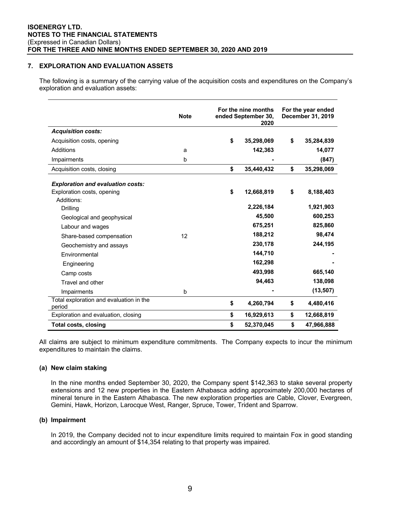## **7. EXPLORATION AND EVALUATION ASSETS**

The following is a summary of the carrying value of the acquisition costs and expenditures on the Company's exploration and evaluation assets:

|                                                   | <b>Note</b> | For the nine months<br>ended September 30,<br>2020 | For the year ended<br><b>December 31, 2019</b> |            |  |
|---------------------------------------------------|-------------|----------------------------------------------------|------------------------------------------------|------------|--|
| <b>Acquisition costs:</b>                         |             |                                                    |                                                |            |  |
| Acquisition costs, opening                        |             | \$<br>35,298,069                                   | \$                                             | 35,284,839 |  |
| Additions                                         | a           | 142,363                                            |                                                | 14,077     |  |
| Impairments                                       | $\mathbf b$ |                                                    |                                                | (847)      |  |
| Acquisition costs, closing                        |             | \$<br>35,440,432                                   | \$                                             | 35,298,069 |  |
| <b>Exploration and evaluation costs:</b>          |             |                                                    |                                                |            |  |
| Exploration costs, opening                        |             | \$<br>12,668,819                                   | \$                                             | 8,188,403  |  |
| Additions:                                        |             |                                                    |                                                |            |  |
| Drilling                                          |             | 2,226,184                                          |                                                | 1,921,903  |  |
| Geological and geophysical                        |             | 45,500                                             |                                                | 600,253    |  |
| Labour and wages                                  |             | 675,251                                            |                                                | 825,860    |  |
| Share-based compensation                          | 12          | 188,212                                            |                                                | 98,474     |  |
| Geochemistry and assays                           |             | 230,178                                            |                                                | 244,195    |  |
| Environmental                                     |             | 144,710                                            |                                                |            |  |
| Engineering                                       |             | 162,298                                            |                                                |            |  |
| Camp costs                                        |             | 493,998                                            |                                                | 665,140    |  |
| Travel and other                                  |             | 94,463                                             |                                                | 138,098    |  |
| Impairments                                       | b           |                                                    |                                                | (13, 507)  |  |
| Total exploration and evaluation in the<br>period |             | \$<br>4,260,794                                    | \$                                             | 4,480,416  |  |
| Exploration and evaluation, closing               |             | \$<br>16,929,613                                   | \$                                             | 12,668,819 |  |
| Total costs, closing                              |             | \$<br>52,370,045                                   | \$                                             | 47,966,888 |  |

All claims are subject to minimum expenditure commitments. The Company expects to incur the minimum expenditures to maintain the claims.

#### **(a) New claim staking**

In the nine months ended September 30, 2020, the Company spent \$142,363 to stake several property extensions and 12 new properties in the Eastern Athabasca adding approximately 200,000 hectares of mineral tenure in the Eastern Athabasca. The new exploration properties are Cable, Clover, Evergreen, Gemini, Hawk, Horizon, Larocque West, Ranger, Spruce, Tower, Trident and Sparrow.

#### **(b) Impairment**

In 2019, the Company decided not to incur expenditure limits required to maintain Fox in good standing and accordingly an amount of \$14,354 relating to that property was impaired.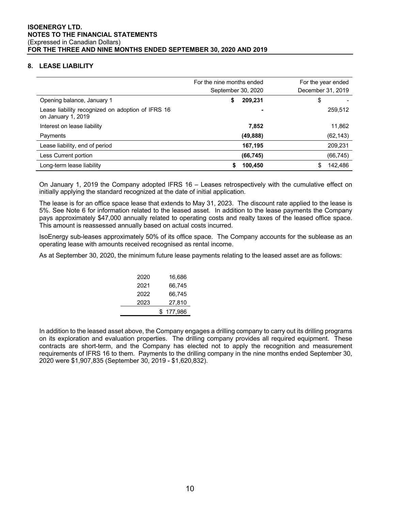# **8. LEASE LIABILITY**

|                                                                         | For the nine months ended<br>September 30, 2020 | For the year ended<br>December 31, 2019 |
|-------------------------------------------------------------------------|-------------------------------------------------|-----------------------------------------|
| Opening balance, January 1                                              | 209,231<br>S                                    | \$                                      |
| Lease liability recognized on adoption of IFRS 16<br>on January 1, 2019 |                                                 | 259,512                                 |
| Interest on lease liability                                             | 7,852                                           | 11,862                                  |
| Payments                                                                | (49, 888)                                       | (62, 143)                               |
| Lease liability, end of period                                          | 167,195                                         | 209,231                                 |
| Less Current portion                                                    | (66, 745)                                       | (66, 745)                               |
| Long-term lease liability                                               | 100,450                                         | 142.486<br>\$                           |

On January 1, 2019 the Company adopted IFRS 16 – Leases retrospectively with the cumulative effect on initially applying the standard recognized at the date of initial application.

The lease is for an office space lease that extends to May 31, 2023. The discount rate applied to the lease is 5%. See Note 6 for information related to the leased asset. In addition to the lease payments the Company pays approximately \$47,000 annually related to operating costs and realty taxes of the leased office space. This amount is reassessed annually based on actual costs incurred.

IsoEnergy sub-leases approximately 50% of its office space. The Company accounts for the sublease as an operating lease with amounts received recognised as rental income.

As at September 30, 2020, the minimum future lease payments relating to the leased asset are as follows:

| 2020 | 16,686        |
|------|---------------|
| 2021 | 66.745        |
| 2022 | 66.745        |
| 2023 | 27,810        |
|      | 177.986<br>£. |
|      |               |

In addition to the leased asset above, the Company engages a drilling company to carry out its drilling programs on its exploration and evaluation properties. The drilling company provides all required equipment. These contracts are short-term, and the Company has elected not to apply the recognition and measurement requirements of IFRS 16 to them. Payments to the drilling company in the nine months ended September 30, 2020 were \$1,907,835 (September 30, 2019 - \$1,620,832).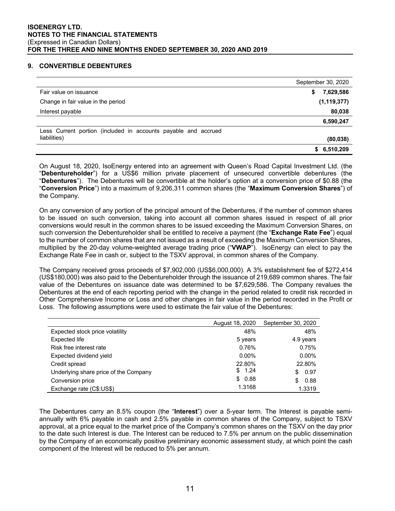# **9. CONVERTIBLE DEBENTURES**

|                                                                | September 30, 2020 |
|----------------------------------------------------------------|--------------------|
| Fair value on issuance                                         | 7,629,586<br>S     |
| Change in fair value in the period                             | (1, 119, 377)      |
| Interest payable                                               | 80,038             |
|                                                                | 6,590,247          |
| Less Current portion (included in accounts payable and accrued |                    |
| liabilities)                                                   | (80, 038)          |
|                                                                | \$6,510,209        |

On August 18, 2020, IsoEnergy entered into an agreement with Queen's Road Capital Investment Ltd. (the "**Debentureholder**") for a US\$6 million private placement of unsecured convertible debentures (the "**Debentures**"). The Debentures will be convertible at the holder's option at a conversion price of \$0.88 (the "**Conversion Price**") into a maximum of 9,206,311 common shares (the "**Maximum Conversion Shares**") of the Company.

On any conversion of any portion of the principal amount of the Debentures, if the number of common shares to be issued on such conversion, taking into account all common shares issued in respect of all prior conversions would result in the common shares to be issued exceeding the Maximum Conversion Shares, on such conversion the Debentureholder shall be entitled to receive a payment (the "**Exchange Rate Fee**") equal to the number of common shares that are not issued as a result of exceeding the Maximum Conversion Shares, multiplied by the 20-day volume-weighted average trading price ("**VWAP**"). IsoEnergy can elect to pay the Exchange Rate Fee in cash or, subject to the TSXV approval, in common shares of the Company.

The Company received gross proceeds of \$7,902,000 (US\$6,000,000). A 3% establishment fee of \$272,414 (US\$180,000) was also paid to the Debentureholder through the issuance of 219,689 common shares. The fair value of the Debentures on issuance date was determined to be \$7,629,586. The Company revalues the Debentures at the end of each reporting period with the change in the period related to credit risk recorded in Other Comprehensive Income or Loss and other changes in fair value in the period recorded in the Profit or Loss. The following assumptions were used to estimate the fair value of the Debentures:

|                                       | August 18, 2020 | September 30, 2020 |
|---------------------------------------|-----------------|--------------------|
| Expected stock price volatility       | 48%             | 48%                |
| Expected life                         | 5 years         | 4.9 years          |
| Risk free interest rate               | 0.76%           | 0.75%              |
| Expected dividend yield               | $0.00\%$        | $0.00\%$           |
| Credit spread                         | 22.80%          | 22.80%             |
| Underlying share price of the Company | \$1.24          | 0.97<br>S.         |
| Conversion price                      | \$0.88          | 0.88<br>S          |
| Exchange rate (C\$:US\$)              | 1.3168          | 1.3319             |

The Debentures carry an 8.5% coupon (the "**Interest**") over a 5-year term. The Interest is payable semiannually with 6% payable in cash and 2.5% payable in common shares of the Company, subject to TSXV approval, at a price equal to the market price of the Company's common shares on the TSXV on the day prior to the date such Interest is due. The Interest can be reduced to 7.5% per annum on the public dissemination by the Company of an economically positive preliminary economic assessment study, at which point the cash component of the Interest will be reduced to 5% per annum.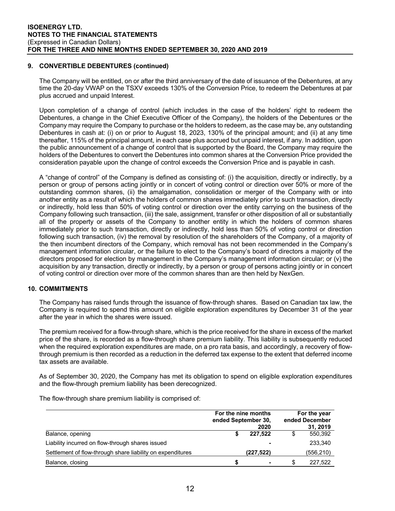# **9. CONVERTIBLE DEBENTURES (continued)**

The Company will be entitled, on or after the third anniversary of the date of issuance of the Debentures, at any time the 20-day VWAP on the TSXV exceeds 130% of the Conversion Price, to redeem the Debentures at par plus accrued and unpaid Interest.

Upon completion of a change of control (which includes in the case of the holders' right to redeem the Debentures, a change in the Chief Executive Officer of the Company), the holders of the Debentures or the Company may require the Company to purchase or the holders to redeem, as the case may be, any outstanding Debentures in cash at: (i) on or prior to August 18, 2023, 130% of the principal amount; and (ii) at any time thereafter, 115% of the principal amount, in each case plus accrued but unpaid interest, if any. In addition, upon the public announcement of a change of control that is supported by the Board, the Company may require the holders of the Debentures to convert the Debentures into common shares at the Conversion Price provided the consideration payable upon the change of control exceeds the Conversion Price and is payable in cash.

A "change of control" of the Company is defined as consisting of: (i) the acquisition, directly or indirectly, by a person or group of persons acting jointly or in concert of voting control or direction over 50% or more of the outstanding common shares, (ii) the amalgamation, consolidation or merger of the Company with or into another entity as a result of which the holders of common shares immediately prior to such transaction, directly or indirectly, hold less than 50% of voting control or direction over the entity carrying on the business of the Company following such transaction, (iii) the sale, assignment, transfer or other disposition of all or substantially all of the property or assets of the Company to another entity in which the holders of common shares immediately prior to such transaction, directly or indirectly, hold less than 50% of voting control or direction following such transaction, (iv) the removal by resolution of the shareholders of the Company, of a majority of the then incumbent directors of the Company, which removal has not been recommended in the Company's management information circular, or the failure to elect to the Company's board of directors a majority of the directors proposed for election by management in the Company's management information circular; or (v) the acquisition by any transaction, directly or indirectly, by a person or group of persons acting jointly or in concert of voting control or direction over more of the common shares than are then held by NexGen.

# **10. COMMITMENTS**

The Company has raised funds through the issuance of flow-through shares. Based on Canadian tax law, the Company is required to spend this amount on eligible exploration expenditures by December 31 of the year after the year in which the shares were issued.

The premium received for a flow-through share, which is the price received for the share in excess of the market price of the share, is recorded as a flow-through share premium liability. This liability is subsequently reduced when the required exploration expenditures are made, on a pro rata basis, and accordingly, a recovery of flowthrough premium is then recorded as a reduction in the deferred tax expense to the extent that deferred income tax assets are available.

As of September 30, 2020, the Company has met its obligation to spend on eligible exploration expenditures and the flow-through premium liability has been derecognized.

The flow-through share premium liability is comprised of:

|                                                            | ended September 30, | For the nine months<br>2020 |     | For the year<br>ended December<br>31, 2019 |  |  |
|------------------------------------------------------------|---------------------|-----------------------------|-----|--------------------------------------------|--|--|
| Balance, opening                                           |                     | 227.522                     |     | 550,392                                    |  |  |
| Liability incurred on flow-through shares issued           |                     | ۰                           |     | 233,340                                    |  |  |
| Settlement of flow-through share liability on expenditures |                     | (227, 522)                  |     | (556, 210)                                 |  |  |
| Balance, closing                                           | S                   | ۰                           | \$. | 227.522                                    |  |  |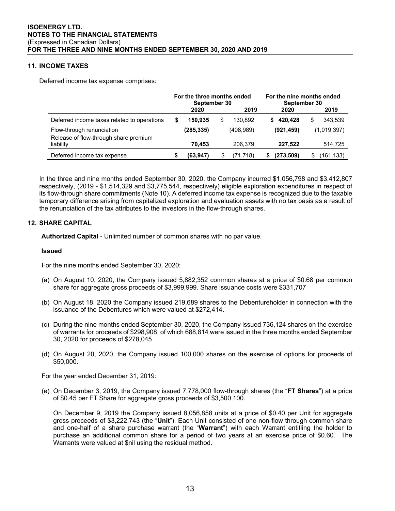# **11. INCOME TAXES**

Deferred income tax expense comprises:

|                                                                    | For the three months ended<br>September 30 |           |   | For the nine months ended<br>September 30 |    |            |   |             |
|--------------------------------------------------------------------|--------------------------------------------|-----------|---|-------------------------------------------|----|------------|---|-------------|
|                                                                    |                                            | 2020      |   | 2019                                      |    | 2020       |   | 2019        |
| Deferred income taxes related to operations                        |                                            | 150.935   | S | 130.892                                   | S. | 420.428    | S | 343.539     |
| Flow-through renunciation<br>Release of flow-through share premium |                                            | (285,335) |   | (408, 989)                                |    | (921, 459) |   | (1,019,397) |
| liability                                                          |                                            | 70.453    |   | 206.379                                   |    | 227.522    |   | 514,725     |
| Deferred income tax expense                                        |                                            | (63, 947) |   | (71.718)                                  |    | (273,509)  |   | (161,133)   |

In the three and nine months ended September 30, 2020, the Company incurred \$1,056,798 and \$3,412,807 respectively, (2019 - \$1,514,329 and \$3,775,544, respectively) eligible exploration expenditures in respect of its flow-through share commitments (Note 10). A deferred income tax expense is recognized due to the taxable temporary difference arising from capitalized exploration and evaluation assets with no tax basis as a result of the renunciation of the tax attributes to the investors in the flow-through shares.

# **12. SHARE CAPITAL**

**Authorized Capital** - Unlimited number of common shares with no par value.

#### **Issued**

For the nine months ended September 30, 2020:

- (a) On August 10, 2020, the Company issued 5,882,352 common shares at a price of \$0.68 per common share for aggregate gross proceeds of \$3,999,999. Share issuance costs were \$331,707
- (b) On August 18, 2020 the Company issued 219,689 shares to the Debentureholder in connection with the issuance of the Debentures which were valued at \$272,414.
- (c) During the nine months ended September 30, 2020, the Company issued 736,124 shares on the exercise of warrants for proceeds of \$298,908, of which 688,814 were issued in the three months ended September 30, 2020 for proceeds of \$278,045.
- (d) On August 20, 2020, the Company issued 100,000 shares on the exercise of options for proceeds of \$50,000.

For the year ended December 31, 2019:

(e) On December 3, 2019, the Company issued 7,778,000 flow-through shares (the "**FT Shares**") at a price of \$0.45 per FT Share for aggregate gross proceeds of \$3,500,100.

On December 9, 2019 the Company issued 8,056,858 units at a price of \$0.40 per Unit for aggregate gross proceeds of \$3,222,743 (the "**Unit**"). Each Unit consisted of one non-flow through common share and one-half of a share purchase warrant (the "**Warrant**") with each Warrant entitling the holder to purchase an additional common share for a period of two years at an exercise price of \$0.60. The Warrants were valued at \$nil using the residual method.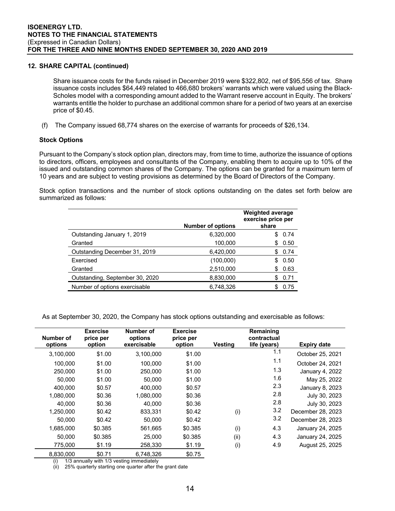# **12. SHARE CAPITAL (continued)**

Share issuance costs for the funds raised in December 2019 were \$322,802, net of \$95,556 of tax. Share issuance costs includes \$64,449 related to 466,680 brokers' warrants which were valued using the Black-Scholes model with a corresponding amount added to the Warrant reserve account in Equity. The brokers' warrants entitle the holder to purchase an additional common share for a period of two years at an exercise price of \$0.45.

(f) The Company issued 68,774 shares on the exercise of warrants for proceeds of \$26,134.

# **Stock Options**

Pursuant to the Company's stock option plan, directors may, from time to time, authorize the issuance of options to directors, officers, employees and consultants of the Company, enabling them to acquire up to 10% of the issued and outstanding common shares of the Company. The options can be granted for a maximum term of 10 years and are subject to vesting provisions as determined by the Board of Directors of the Company.

Stock option transactions and the number of stock options outstanding on the dates set forth below are summarized as follows:

|                                 | <b>Number of options</b> | <b>Weighted average</b><br>exercise price per<br>share |
|---------------------------------|--------------------------|--------------------------------------------------------|
| Outstanding January 1, 2019     | 6,320,000                | 0.74<br>S                                              |
| Granted                         | 100,000                  | 0.50<br>S                                              |
| Outstanding December 31, 2019   | 6,420,000                | 0.74<br>S                                              |
| Exercised                       | (100,000)                | 0.50<br>S                                              |
| Granted                         | 2,510,000                | 0.63<br>S                                              |
| Outstanding, September 30, 2020 | 8,830,000                | 0.71                                                   |
| Number of options exercisable   | 6,748,326                | 0.75<br>S                                              |

As at September 30, 2020, the Company has stock options outstanding and exercisable as follows:

|           | <b>Exercise</b> | Number of   | <b>Exercise</b> |                | Remaining    |                    |
|-----------|-----------------|-------------|-----------------|----------------|--------------|--------------------|
| Number of | price per       | options     | price per       |                | contractual  |                    |
| options   | option          | exercisable | option          | <b>Vesting</b> | life (years) | <b>Expiry date</b> |
| 3,100,000 | \$1.00          | 3,100,000   | \$1.00          |                | 1.1          | October 25, 2021   |
| 100,000   | \$1.00          | 100.000     | \$1.00          |                | 1.1          | October 24, 2021   |
| 250,000   | \$1.00          | 250,000     | \$1.00          |                | 1.3          | January 4, 2022    |
| 50.000    | \$1.00          | 50.000      | \$1.00          |                | 1.6          | May 25, 2022       |
| 400.000   | \$0.57          | 400.000     | \$0.57          |                | 2.3          | January 8, 2023    |
| 1,080,000 | \$0.36          | 1.080.000   | \$0.36          |                | 2.8          | July 30, 2023      |
| 40.000    | \$0.36          | 40.000      | \$0.36          |                | 2.8          | July 30, 2023      |
| 1,250,000 | \$0.42          | 833,331     | \$0.42          | (i)            | 3.2          | December 28, 2023  |
| 50,000    | \$0.42          | 50,000      | \$0.42          |                | 3.2          | December 28, 2023  |
| 1,685,000 | \$0.385         | 561.665     | \$0.385         | (i)            | 4.3          | January 24, 2025   |
| 50.000    | \$0.385         | 25,000      | \$0.385         | (ii)           | 4.3          | January 24, 2025   |
| 775,000   | \$1.19          | 258,330     | \$1.19          | (i)            | 4.9          | August 25, 2025    |
| 8,830,000 | \$0.71          | 6,748,326   | \$0.75          |                |              |                    |

(i) 1/3 annually with 1/3 vesting immediately

(ii) 25% quarterly starting one quarter after the grant date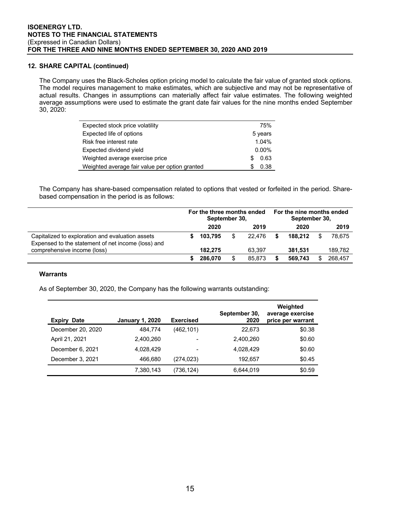# **12. SHARE CAPITAL (continued)**

The Company uses the Black-Scholes option pricing model to calculate the fair value of granted stock options. The model requires management to make estimates, which are subjective and may not be representative of actual results. Changes in assumptions can materially affect fair value estimates. The following weighted average assumptions were used to estimate the grant date fair values for the nine months ended September 30, 2020:

| Expected stock price volatility                | 75%      |
|------------------------------------------------|----------|
| Expected life of options                       | 5 years  |
| Risk free interest rate                        | 1.04%    |
| Expected dividend yield                        | $0.00\%$ |
| Weighted average exercise price                | 0.63     |
| Weighted average fair value per option granted | 0.38     |

The Company has share-based compensation related to options that vested or forfeited in the period. Sharebased compensation in the period is as follows:

|                                                                                                        | For the three months ended<br>September 30, |         |     | For the nine months ended<br>September 30, |   |         |  |         |
|--------------------------------------------------------------------------------------------------------|---------------------------------------------|---------|-----|--------------------------------------------|---|---------|--|---------|
|                                                                                                        |                                             | 2020    |     | 2019                                       |   | 2020    |  | 2019    |
| Capitalized to exploration and evaluation assets<br>Expensed to the statement of net income (loss) and |                                             | 103.795 | \$. | 22.476                                     | S | 188.212 |  | 78.675  |
| comprehensive income (loss)                                                                            |                                             | 182.275 |     | 63.397                                     |   | 381.531 |  | 189.782 |
|                                                                                                        |                                             | 286,070 |     | 85,873                                     |   | 569.743 |  | 268.457 |

#### **Warrants**

As of September 30, 2020, the Company has the following warrants outstanding:

| Expiry<br><b>Date</b> | <b>January 1, 2020</b> | <b>Exercised</b> | September 30,<br>2020 | Weighted<br>average exercise<br>price per warrant |
|-----------------------|------------------------|------------------|-----------------------|---------------------------------------------------|
| December 20, 2020     | 484,774                | (462, 101)       | 22,673                | \$0.38                                            |
| April 21, 2021        | 2,400,260              | ۰                | 2,400,260             | \$0.60                                            |
| December 6, 2021      | 4.028.429              | -                | 4,028,429             | \$0.60                                            |
| December 3, 2021      | 466.680                | (274, 023)       | 192.657               | \$0.45                                            |
|                       | 7,380,143              | (736,124)        | 6,644,019             | \$0.59                                            |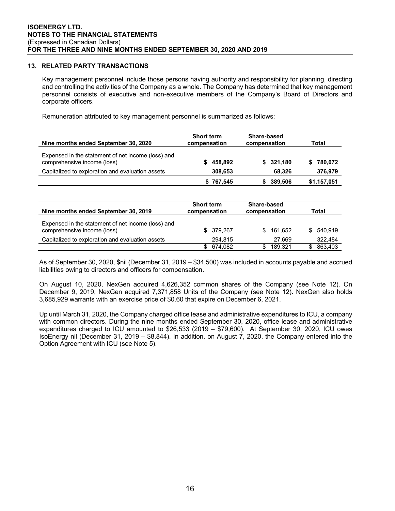#### **13. RELATED PARTY TRANSACTIONS**

Key management personnel include those persons having authority and responsibility for planning, directing and controlling the activities of the Company as a whole. The Company has determined that key management personnel consists of executive and non-executive members of the Company's Board of Directors and corporate officers.

Remuneration attributed to key management personnel is summarized as follows:

| Nine months ended September 30, 2020                                              | <b>Short term</b><br>compensation | Share-based<br>compensation        | Total          |
|-----------------------------------------------------------------------------------|-----------------------------------|------------------------------------|----------------|
| Expensed in the statement of net income (loss) and<br>comprehensive income (loss) | 458.892<br>S.                     | 321.180<br>S.                      | 780.072<br>\$  |
| Capitalized to exploration and evaluation assets                                  | 308,653                           | 68,326                             | 376,979        |
|                                                                                   | \$767,545                         | 389,506<br>\$                      | \$1,157,051    |
|                                                                                   |                                   |                                    |                |
| Nine months ended September 30, 2019                                              | <b>Short term</b><br>compensation | <b>Share-based</b><br>compensation | Total          |
| Expensed in the statement of net income (loss) and<br>comprehensive income (loss) | \$.<br>379,267                    | \$<br>161.652                      | \$.<br>540.919 |
| Capitalized to exploration and evaluation assets                                  | 294.815                           | 27.669                             | 322.484        |
|                                                                                   | \$<br>674,082                     | \$<br>189,321                      | \$<br>863,403  |

As of September 30, 2020, \$nil (December 31, 2019 – \$34,500) was included in accounts payable and accrued liabilities owing to directors and officers for compensation.

On August 10, 2020, NexGen acquired 4,626,352 common shares of the Company (see Note 12). On December 9, 2019, NexGen acquired 7,371,858 Units of the Company (see Note 12). NexGen also holds 3,685,929 warrants with an exercise price of \$0.60 that expire on December 6, 2021.

Up until March 31, 2020, the Company charged office lease and administrative expenditures to ICU, a company with common directors. During the nine months ended September 30, 2020, office lease and administrative expenditures charged to ICU amounted to \$26,533 (2019 – \$79,600). At September 30, 2020, ICU owes IsoEnergy nil (December 31, 2019 – \$8,844). In addition, on August 7, 2020, the Company entered into the Option Agreement with ICU (see Note 5).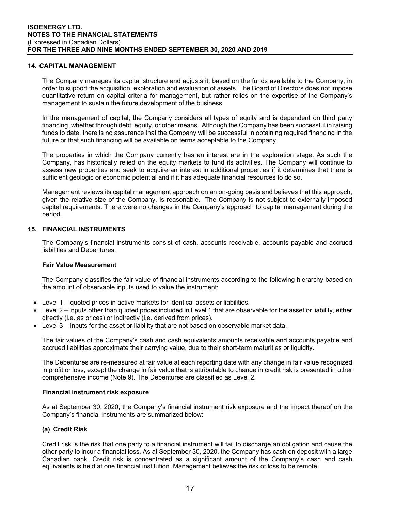#### **14. CAPITAL MANAGEMENT**

The Company manages its capital structure and adjusts it, based on the funds available to the Company, in order to support the acquisition, exploration and evaluation of assets. The Board of Directors does not impose quantitative return on capital criteria for management, but rather relies on the expertise of the Company's management to sustain the future development of the business.

In the management of capital, the Company considers all types of equity and is dependent on third party financing, whether through debt, equity, or other means. Although the Company has been successful in raising funds to date, there is no assurance that the Company will be successful in obtaining required financing in the future or that such financing will be available on terms acceptable to the Company.

The properties in which the Company currently has an interest are in the exploration stage. As such the Company, has historically relied on the equity markets to fund its activities. The Company will continue to assess new properties and seek to acquire an interest in additional properties if it determines that there is sufficient geologic or economic potential and if it has adequate financial resources to do so.

Management reviews its capital management approach on an on-going basis and believes that this approach, given the relative size of the Company, is reasonable. The Company is not subject to externally imposed capital requirements. There were no changes in the Company's approach to capital management during the period.

#### **15. FINANCIAL INSTRUMENTS**

The Company's financial instruments consist of cash, accounts receivable, accounts payable and accrued liabilities and Debentures.

#### **Fair Value Measurement**

The Company classifies the fair value of financial instruments according to the following hierarchy based on the amount of observable inputs used to value the instrument:

- Level 1 quoted prices in active markets for identical assets or liabilities.
- Level 2 inputs other than quoted prices included in Level 1 that are observable for the asset or liability, either directly (i.e. as prices) or indirectly (i.e. derived from prices).
- Level 3 inputs for the asset or liability that are not based on observable market data.

The fair values of the Company's cash and cash equivalents amounts receivable and accounts payable and accrued liabilities approximate their carrying value, due to their short-term maturities or liquidity.

The Debentures are re-measured at fair value at each reporting date with any change in fair value recognized in profit or loss, except the change in fair value that is attributable to change in credit risk is presented in other comprehensive income (Note 9). The Debentures are classified as Level 2.

#### **Financial instrument risk exposure**

As at September 30, 2020, the Company's financial instrument risk exposure and the impact thereof on the Company's financial instruments are summarized below:

#### **(a) Credit Risk**

Credit risk is the risk that one party to a financial instrument will fail to discharge an obligation and cause the other party to incur a financial loss. As at September 30, 2020, the Company has cash on deposit with a large Canadian bank. Credit risk is concentrated as a significant amount of the Company's cash and cash equivalents is held at one financial institution. Management believes the risk of loss to be remote.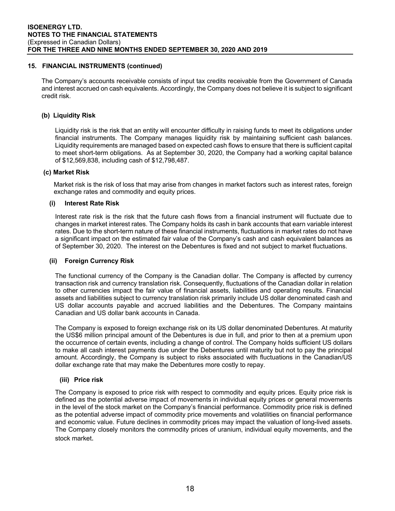# **15. FINANCIAL INSTRUMENTS (continued)**

The Company's accounts receivable consists of input tax credits receivable from the Government of Canada and interest accrued on cash equivalents. Accordingly, the Company does not believe it is subject to significant credit risk.

# **(b) Liquidity Risk**

Liquidity risk is the risk that an entity will encounter difficulty in raising funds to meet its obligations under financial instruments. The Company manages liquidity risk by maintaining sufficient cash balances. Liquidity requirements are managed based on expected cash flows to ensure that there is sufficient capital to meet short-term obligations. As at September 30, 2020, the Company had a working capital balance of \$12,569,838, including cash of \$12,798,487.

# **(c) Market Risk**

Market risk is the risk of loss that may arise from changes in market factors such as interest rates, foreign exchange rates and commodity and equity prices.

# **(i) Interest Rate Risk**

Interest rate risk is the risk that the future cash flows from a financial instrument will fluctuate due to changes in market interest rates. The Company holds its cash in bank accounts that earn variable interest rates. Due to the short-term nature of these financial instruments, fluctuations in market rates do not have a significant impact on the estimated fair value of the Company's cash and cash equivalent balances as of September 30, 2020. The interest on the Debentures is fixed and not subject to market fluctuations.

#### **(ii) Foreign Currency Risk**

The functional currency of the Company is the Canadian dollar. The Company is affected by currency transaction risk and currency translation risk. Consequently, fluctuations of the Canadian dollar in relation to other currencies impact the fair value of financial assets, liabilities and operating results. Financial assets and liabilities subject to currency translation risk primarily include US dollar denominated cash and US dollar accounts payable and accrued liabilities and the Debentures. The Company maintains Canadian and US dollar bank accounts in Canada.

The Company is exposed to foreign exchange risk on its US dollar denominated Debentures. At maturity the US\$6 million principal amount of the Debentures is due in full, and prior to then at a premium upon the occurrence of certain events, including a change of control. The Company holds sufficient US dollars to make all cash interest payments due under the Debentures until maturity but not to pay the principal amount. Accordingly, the Company is subject to risks associated with fluctuations in the Canadian/US dollar exchange rate that may make the Debentures more costly to repay.

#### **(iii) Price risk**

The Company is exposed to price risk with respect to commodity and equity prices. Equity price risk is defined as the potential adverse impact of movements in individual equity prices or general movements in the level of the stock market on the Company's financial performance. Commodity price risk is defined as the potential adverse impact of commodity price movements and volatilities on financial performance and economic value. Future declines in commodity prices may impact the valuation of long-lived assets. The Company closely monitors the commodity prices of uranium, individual equity movements, and the stock market.